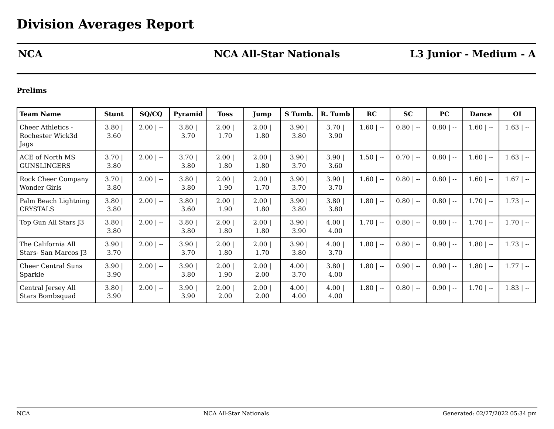# **NCA NCA All-Star Nationals L3 Junior - Medium - A**

### **Prelims**

| <b>Team Name</b>                                 | <b>Stunt</b>     | SQ/CQ       | Pyramid          | <b>Toss</b>  | Jump          | S Tumb.       | R. Tumb      | RC           | <b>SC</b>   | <b>PC</b>   | <b>Dance</b> | <b>OI</b>    |
|--------------------------------------------------|------------------|-------------|------------------|--------------|---------------|---------------|--------------|--------------|-------------|-------------|--------------|--------------|
| Cheer Athletics -<br>Rochester Wick3d<br>Jags    | $3.80$  <br>3.60 | $2.00$   -- | 3.80<br>3.70     | 2.00<br>1.70 | 2.00 <br>1.80 | 3.90<br>3.80  | 3.70<br>3.90 | $1.60$   --  | $0.80$   -- | $0.80$   -- | $1.60$   $-$ | $1.63$   --  |
| ACE of North MS<br><b>GUNSLINGERS</b>            | $3.70$  <br>3.80 | $2.00$   -- | 3.70<br>3.80     | 2.00<br>1.80 | 2.00<br>1.80  | 3.90<br>3.70  | 3.90<br>3.60 | $1.50$   $-$ | $0.70$   -- | $0.80$   -- | $1.60$   --  | $1.63$   --  |
| <b>Rock Cheer Company</b><br><b>Wonder Girls</b> | $3.70$  <br>3.80 | $2.00$   -- | 3.80<br>3.80     | 2.00<br>1.90 | 2.00<br>1.70  | 3.90<br>3.70  | 3.90<br>3.70 | $1.60$   --  | $0.80$   -- | $0.80$   -- | $1.60$   --  | $1.67$   --  |
| Palm Beach Lightning<br><b>CRYSTALS</b>          | 3.80<br>3.80     | $2.00$   -- | $3.80$  <br>3.60 | 2.00<br>1.90 | 2.00 <br>1.80 | 3.90<br>3.80  | 3.80<br>3.80 | $1.80$   $-$ | $0.80$   -- | $0.80$   -- | $1.70$   $-$ | $1.73$   $-$ |
| Top Gun All Stars J3                             | 3.80<br>3.80     | $2.00$   -- | 3.80<br>3.80     | 2.00<br>1.80 | 2.00<br>1.80  | 3.90<br>3.90  | 4.00<br>4.00 | $1.70$   --  | $0.80$   -- | $0.80$   -- | $1.70$   $-$ | $1.70$   --  |
| The California All<br>Stars-San Marcos J3        | 3.90<br>3.70     | $2.00$   -- | 3.90<br>3.70     | 2.00<br>1.80 | 2.00<br>1.70  | 3.90<br>3.80  | 4.00<br>3.70 | $1.80$   --  | $0.80$   -- | $0.90$   -- | $1.80$   --  | $1.73$   $-$ |
| <b>Cheer Central Suns</b><br>Sparkle             | 3.90<br>3.90     | $2.00$   -- | 3.90<br>3.80     | 2.00<br>1.90 | 2.00<br>2.00  | 4.00 <br>3.70 | 3.80<br>4.00 | $1.80$   $-$ | $0.90$   -- | $0.90$   -- | $1.80$   --  | $1.77$   $-$ |
| Central Jersey All<br>Stars Bombsquad            | 3.80<br>3.90     | $2.00$   -- | 3.90<br>3.90     | 2.00<br>2.00 | 2.00<br>2.00  | 4.00<br>4.00  | 4.00<br>4.00 | $1.80$   --  | $0.80$   -- | $0.90$   -- | $1.70$   --  | $1.83$   $-$ |